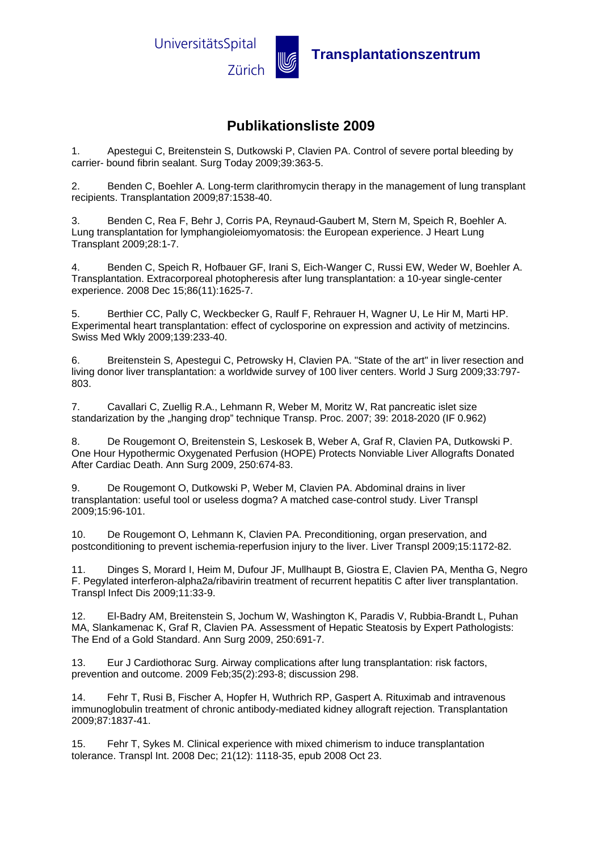

## **Zürich WE** Transplantationszentrum

## **Publikationsliste 2009**

1. Apestegui C, Breitenstein S, Dutkowski P, Clavien PA. Control of severe portal bleeding by carrier- bound fibrin sealant. Surg Today 2009;39:363-5.

2. Benden C, Boehler A. Long-term clarithromycin therapy in the management of lung transplant recipients. Transplantation 2009;87:1538-40.

3. Benden C, Rea F, Behr J, Corris PA, Reynaud-Gaubert M, Stern M, Speich R, Boehler A. Lung transplantation for lymphangioleiomyomatosis: the European experience. J Heart Lung Transplant 2009;28:1-7.

4. Benden C, Speich R, Hofbauer GF, Irani S, Eich-Wanger C, Russi EW, Weder W, Boehler A. Transplantation. Extracorporeal photopheresis after lung transplantation: a 10-year single-center experience. 2008 Dec 15;86(11):1625-7.

5. Berthier CC, Pally C, Weckbecker G, Raulf F, Rehrauer H, Wagner U, Le Hir M, Marti HP. Experimental heart transplantation: effect of cyclosporine on expression and activity of metzincins. Swiss Med Wkly 2009;139:233-40.

6. Breitenstein S, Apestegui C, Petrowsky H, Clavien PA. "State of the art" in liver resection and living donor liver transplantation: a worldwide survey of 100 liver centers. World J Surg 2009;33:797- 803.

7. Cavallari C, Zuellig R.A., Lehmann R, Weber M, Moritz W, Rat pancreatic islet size standarization by the "hanging drop" technique Transp. Proc. 2007; 39: 2018-2020 (IF 0.962)

8. De Rougemont O, Breitenstein S, Leskosek B, Weber A, Graf R, Clavien PA, Dutkowski P. One Hour Hypothermic Oxygenated Perfusion (HOPE) Protects Nonviable Liver Allografts Donated After Cardiac Death. Ann Surg 2009, 250:674-83.

9. De Rougemont O, Dutkowski P, Weber M, Clavien PA. Abdominal drains in liver transplantation: useful tool or useless dogma? A matched case-control study. Liver Transpl 2009;15:96-101.

10. De Rougemont O, Lehmann K, Clavien PA. Preconditioning, organ preservation, and postconditioning to prevent ischemia-reperfusion injury to the liver. Liver Transpl 2009;15:1172-82.

11. Dinges S, Morard I, Heim M, Dufour JF, Mullhaupt B, Giostra E, Clavien PA, Mentha G, Negro F. Pegylated interferon-alpha2a/ribavirin treatment of recurrent hepatitis C after liver transplantation. Transpl Infect Dis 2009;11:33-9.

12. El-Badry AM, Breitenstein S, Jochum W, Washington K, Paradis V, Rubbia-Brandt L, Puhan MA, Slankamenac K, Graf R, Clavien PA. Assessment of Hepatic Steatosis by Expert Pathologists: The End of a Gold Standard. Ann Surg 2009, 250:691-7.

13. Eur J Cardiothorac Surg. Airway complications after lung transplantation: risk factors, prevention and outcome. 2009 Feb;35(2):293-8; discussion 298.

14. Fehr T, Rusi B, Fischer A, Hopfer H, Wuthrich RP, Gaspert A. Rituximab and intravenous immunoglobulin treatment of chronic antibody-mediated kidney allograft rejection. Transplantation 2009;87:1837-41.

15. Fehr T, Sykes M. Clinical experience with mixed chimerism to induce transplantation tolerance. Transpl Int. 2008 Dec; 21(12): 1118-35, epub 2008 Oct 23.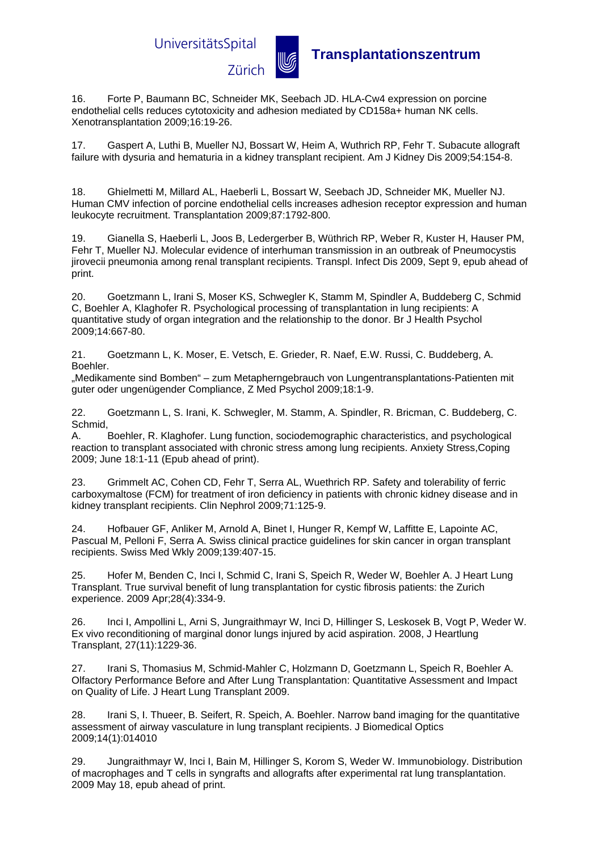UniversitätsSpital



**Transplantationszentrum**<br>Zürich **w** Transplantationszentrum

16. Forte P, Baumann BC, Schneider MK, Seebach JD. HLA-Cw4 expression on porcine endothelial cells reduces cytotoxicity and adhesion mediated by CD158a+ human NK cells. Xenotransplantation 2009;16:19-26.

17. Gaspert A, Luthi B, Mueller NJ, Bossart W, Heim A, Wuthrich RP, Fehr T. Subacute allograft failure with dysuria and hematuria in a kidney transplant recipient. Am J Kidney Dis 2009;54:154-8.

18. Ghielmetti M, Millard AL, Haeberli L, Bossart W, Seebach JD, Schneider MK, Mueller NJ. Human CMV infection of porcine endothelial cells increases adhesion receptor expression and human leukocyte recruitment. Transplantation 2009;87:1792-800.

19. Gianella S, Haeberli L, Joos B, Ledergerber B, Wüthrich RP, Weber R, Kuster H, Hauser PM, Fehr T, Mueller NJ. Molecular evidence of interhuman transmission in an outbreak of Pneumocystis jirovecii pneumonia among renal transplant recipients. Transpl. Infect Dis 2009, Sept 9, epub ahead of print.

20. Goetzmann L, Irani S, Moser KS, Schwegler K, Stamm M, Spindler A, Buddeberg C, Schmid C, Boehler A, Klaghofer R. Psychological processing of transplantation in lung recipients: A quantitative study of organ integration and the relationship to the donor. Br J Health Psychol 2009;14:667-80.

21. Goetzmann L, K. Moser, E. Vetsch, E. Grieder, R. Naef, E.W. Russi, C. Buddeberg, A. Boehler.

"Medikamente sind Bomben" – zum Metapherngebrauch von Lungentransplantations-Patienten mit guter oder ungenügender Compliance, Z Med Psychol 2009;18:1-9.

22. Goetzmann L, S. Irani, K. Schwegler, M. Stamm, A. Spindler, R. Bricman, C. Buddeberg, C. Schmid,

A. Boehler, R. Klaghofer. Lung function, sociodemographic characteristics, and psychological reaction to transplant associated with chronic stress among lung recipients. Anxiety Stress,Coping 2009; June 18:1-11 (Epub ahead of print).

23. Grimmelt AC, Cohen CD, Fehr T, Serra AL, Wuethrich RP. Safety and tolerability of ferric carboxymaltose (FCM) for treatment of iron deficiency in patients with chronic kidney disease and in kidney transplant recipients. Clin Nephrol 2009;71:125-9.

24. Hofbauer GF, Anliker M, Arnold A, Binet I, Hunger R, Kempf W, Laffitte E, Lapointe AC, Pascual M, Pelloni F, Serra A. Swiss clinical practice guidelines for skin cancer in organ transplant recipients. Swiss Med Wkly 2009;139:407-15.

25. Hofer M, Benden C, Inci I, Schmid C, Irani S, Speich R, Weder W, Boehler A. J Heart Lung Transplant. True survival benefit of lung transplantation for cystic fibrosis patients: the Zurich experience. 2009 Apr;28(4):334-9.

26. Inci I, Ampollini L, Arni S, Jungraithmayr W, Inci D, Hillinger S, Leskosek B, Vogt P, Weder W. Ex vivo reconditioning of marginal donor lungs injured by acid aspiration. 2008, J Heartlung Transplant, 27(11):1229-36.

27. Irani S, Thomasius M, Schmid-Mahler C, Holzmann D, Goetzmann L, Speich R, Boehler A. Olfactory Performance Before and After Lung Transplantation: Quantitative Assessment and Impact on Quality of Life. J Heart Lung Transplant 2009.

28. Irani S, I. Thueer, B. Seifert, R. Speich, A. Boehler. Narrow band imaging for the quantitative assessment of airway vasculature in lung transplant recipients. J Biomedical Optics 2009;14(1):014010

29. Jungraithmayr W, Inci I, Bain M, Hillinger S, Korom S, Weder W. Immunobiology. Distribution of macrophages and T cells in syngrafts and allografts after experimental rat lung transplantation. 2009 May 18, epub ahead of print.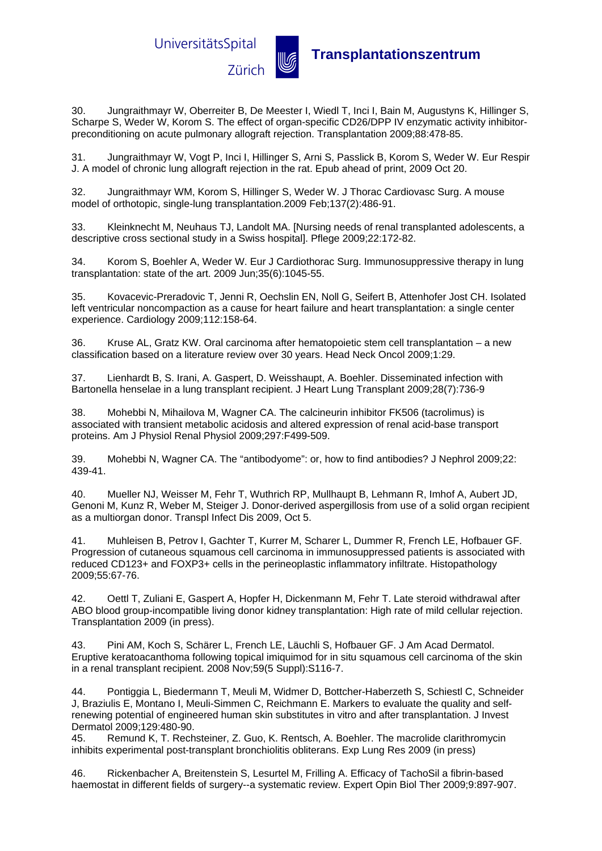

## **Transplantationszentrum**<br>Zürich **w** Transplantationszentrum

30. Jungraithmayr W, Oberreiter B, De Meester I, Wiedl T, Inci I, Bain M, Augustyns K, Hillinger S, Scharpe S, Weder W, Korom S. The effect of organ-specific CD26/DPP IV enzymatic activity inhibitorpreconditioning on acute pulmonary allograft rejection. Transplantation 2009;88:478-85.

31. Jungraithmayr W, Vogt P, Inci I, Hillinger S, Arni S, Passlick B, Korom S, Weder W. Eur Respir J. A model of chronic lung allograft rejection in the rat. Epub ahead of print, 2009 Oct 20.

32. Jungraithmayr WM, Korom S, Hillinger S, Weder W. J Thorac Cardiovasc Surg. A mouse model of orthotopic, single-lung transplantation.2009 Feb;137(2):486-91.

33. Kleinknecht M, Neuhaus TJ, Landolt MA. [Nursing needs of renal transplanted adolescents, a descriptive cross sectional study in a Swiss hospital]. Pflege 2009;22:172-82.

34. Korom S, Boehler A, Weder W. Eur J Cardiothorac Surg. Immunosuppressive therapy in lung transplantation: state of the art. 2009 Jun;35(6):1045-55.

35. Kovacevic-Preradovic T, Jenni R, Oechslin EN, Noll G, Seifert B, Attenhofer Jost CH. Isolated left ventricular noncompaction as a cause for heart failure and heart transplantation: a single center experience. Cardiology 2009;112:158-64.

36. Kruse AL, Gratz KW. Oral carcinoma after hematopoietic stem cell transplantation – a new classification based on a literature review over 30 years. Head Neck Oncol 2009;1:29.

37. Lienhardt B, S. Irani, A. Gaspert, D. Weisshaupt, A. Boehler. Disseminated infection with Bartonella henselae in a lung transplant recipient. J Heart Lung Transplant 2009;28(7):736-9

38. Mohebbi N, Mihailova M, Wagner CA. The calcineurin inhibitor FK506 (tacrolimus) is associated with transient metabolic acidosis and altered expression of renal acid-base transport proteins. Am J Physiol Renal Physiol 2009;297:F499-509.

39. Mohebbi N, Wagner CA. The "antibodyome": or, how to find antibodies? J Nephrol 2009;22: 439-41.

40. Mueller NJ, Weisser M, Fehr T, Wuthrich RP, Mullhaupt B, Lehmann R, Imhof A, Aubert JD, Genoni M, Kunz R, Weber M, Steiger J. Donor-derived aspergillosis from use of a solid organ recipient as a multiorgan donor. Transpl Infect Dis 2009, Oct 5.

41. Muhleisen B, Petrov I, Gachter T, Kurrer M, Scharer L, Dummer R, French LE, Hofbauer GF. Progression of cutaneous squamous cell carcinoma in immunosuppressed patients is associated with reduced CD123+ and FOXP3+ cells in the perineoplastic inflammatory infiltrate. Histopathology 2009;55:67-76.

42. Oettl T, Zuliani E, Gaspert A, Hopfer H, Dickenmann M, Fehr T. Late steroid withdrawal after ABO blood group-incompatible living donor kidney transplantation: High rate of mild cellular rejection. Transplantation 2009 (in press).

43. Pini AM, Koch S, Schärer L, French LE, Läuchli S, Hofbauer GF. J Am Acad Dermatol. Eruptive keratoacanthoma following topical imiquimod for in situ squamous cell carcinoma of the skin in a renal transplant recipient. 2008 Nov;59(5 Suppl):S116-7.

44. Pontiggia L, Biedermann T, Meuli M, Widmer D, Bottcher-Haberzeth S, Schiestl C, Schneider J, Braziulis E, Montano I, Meuli-Simmen C, Reichmann E. Markers to evaluate the quality and selfrenewing potential of engineered human skin substitutes in vitro and after transplantation. J Invest Dermatol 2009;129:480-90.

45. Remund K, T. Rechsteiner, Z. Guo, K. Rentsch, A. Boehler. The macrolide clarithromycin inhibits experimental post-transplant bronchiolitis obliterans. Exp Lung Res 2009 (in press)

46. Rickenbacher A, Breitenstein S, Lesurtel M, Frilling A. Efficacy of TachoSil a fibrin-based haemostat in different fields of surgery--a systematic review. Expert Opin Biol Ther 2009;9:897-907.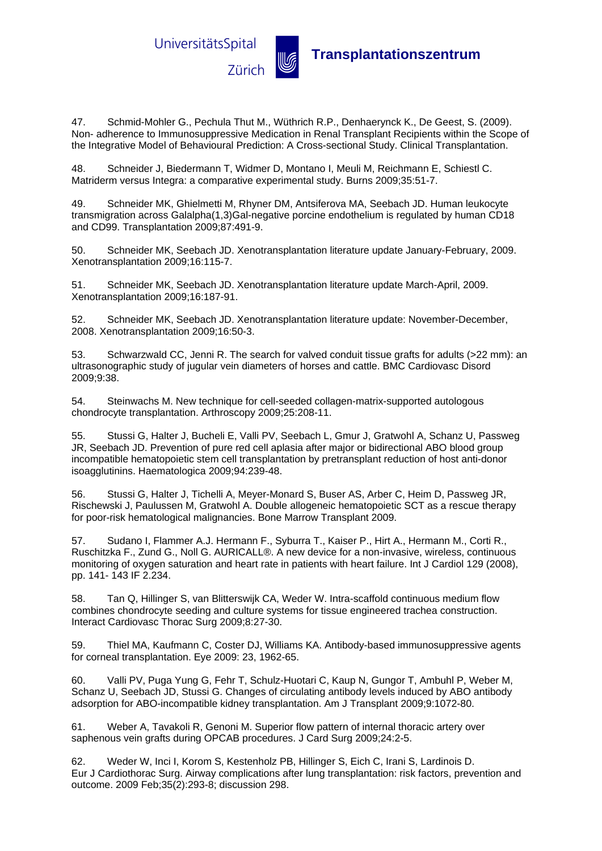

47. Schmid-Mohler G., Pechula Thut M., Wüthrich R.P., Denhaerynck K., De Geest, S. (2009). Non- adherence to Immunosuppressive Medication in Renal Transplant Recipients within the Scope of the Integrative Model of Behavioural Prediction: A Cross-sectional Study. Clinical Transplantation.

48. Schneider J, Biedermann T, Widmer D, Montano I, Meuli M, Reichmann E, Schiestl C. Matriderm versus Integra: a comparative experimental study. Burns 2009;35:51-7.

49. Schneider MK, Ghielmetti M, Rhyner DM, Antsiferova MA, Seebach JD. Human leukocyte transmigration across Galalpha(1,3)Gal-negative porcine endothelium is regulated by human CD18 and CD99. Transplantation 2009;87:491-9.

50. Schneider MK, Seebach JD. Xenotransplantation literature update January-February, 2009. Xenotransplantation 2009;16:115-7.

51. Schneider MK, Seebach JD. Xenotransplantation literature update March-April, 2009. Xenotransplantation 2009;16:187-91.

52. Schneider MK, Seebach JD. Xenotransplantation literature update: November-December, 2008. Xenotransplantation 2009;16:50-3.

53. Schwarzwald CC, Jenni R. The search for valved conduit tissue grafts for adults (>22 mm): an ultrasonographic study of jugular vein diameters of horses and cattle. BMC Cardiovasc Disord 2009;9:38.

54. Steinwachs M. New technique for cell-seeded collagen-matrix-supported autologous chondrocyte transplantation. Arthroscopy 2009;25:208-11.

55. Stussi G, Halter J, Bucheli E, Valli PV, Seebach L, Gmur J, Gratwohl A, Schanz U, Passweg JR, Seebach JD. Prevention of pure red cell aplasia after major or bidirectional ABO blood group incompatible hematopoietic stem cell transplantation by pretransplant reduction of host anti-donor isoagglutinins. Haematologica 2009;94:239-48.

56. Stussi G, Halter J, Tichelli A, Meyer-Monard S, Buser AS, Arber C, Heim D, Passweg JR, Rischewski J, Paulussen M, Gratwohl A. Double allogeneic hematopoietic SCT as a rescue therapy for poor-risk hematological malignancies. Bone Marrow Transplant 2009.

57. Sudano I, Flammer A.J. Hermann F., Syburra T., Kaiser P., Hirt A., Hermann M., Corti R., Ruschitzka F., Zund G., Noll G. AURICALL®. A new device for a non-invasive, wireless, continuous monitoring of oxygen saturation and heart rate in patients with heart failure. Int J Cardiol 129 (2008), pp. 141- 143 IF 2.234.

58. Tan Q, Hillinger S, van Blitterswijk CA, Weder W. Intra-scaffold continuous medium flow combines chondrocyte seeding and culture systems for tissue engineered trachea construction. Interact Cardiovasc Thorac Surg 2009;8:27-30.

59. Thiel MA, Kaufmann C, Coster DJ, Williams KA. Antibody-based immunosuppressive agents for corneal transplantation. Eye 2009: 23, 1962-65.

60. Valli PV, Puga Yung G, Fehr T, Schulz-Huotari C, Kaup N, Gungor T, Ambuhl P, Weber M, Schanz U, Seebach JD, Stussi G. Changes of circulating antibody levels induced by ABO antibody adsorption for ABO-incompatible kidney transplantation. Am J Transplant 2009;9:1072-80.

61. Weber A, Tavakoli R, Genoni M. Superior flow pattern of internal thoracic artery over saphenous vein grafts during OPCAB procedures. J Card Surg 2009;24:2-5.

62. Weder W, Inci I, Korom S, Kestenholz PB, Hillinger S, Eich C, Irani S, Lardinois D. Eur J Cardiothorac Surg. Airway complications after lung transplantation: risk factors, prevention and outcome. 2009 Feb;35(2):293-8; discussion 298.